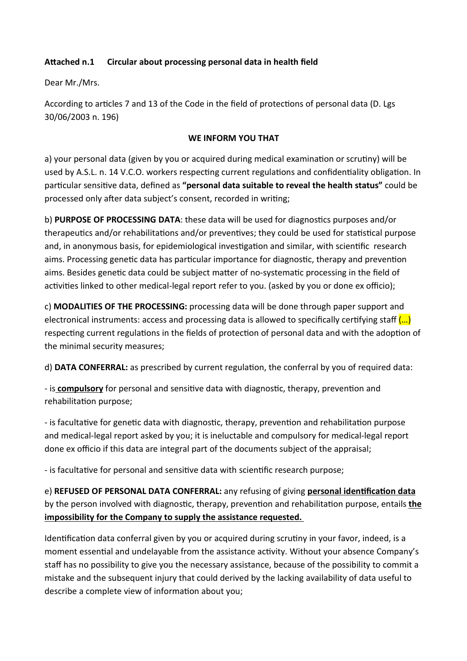## **Attached n.1 Circular about processing personal data in health field**

Dear Mr./Mrs.

According to articles 7 and 13 of the Code in the field of protections of personal data (D. Lgs) 30/06/2003 n. 196)

## **WE INFORM YOU THAT**

a) your personal data (given by you or acquired during medical examination or scrutiny) will be used by A.S.L. n. 14 V.C.O. workers respecting current regulations and confidentiality obligation. In particular sensitive data, defined as "personal data suitable to reveal the health status" could be processed only after data subject's consent, recorded in writing;

b) **PURPOSE OF PROCESSING DATA**: these data will be used for diagnostics purposes and/or therapeutics and/or rehabilitations and/or preventives; they could be used for statistical purpose and, in anonymous basis, for epidemiological investigation and similar, with scientific research aims. Processing genetic data has particular importance for diagnostic, therapy and prevention aims. Besides genetic data could be subject matter of no-systematic processing in the field of activities linked to other medical-legal report refer to you. (asked by you or done ex officio);

c) **MODALITIES OF THE PROCESSING:** processing data will be done through paper support and electronical instruments: access and processing data is allowed to specifically certifying staff  $\left(\dots\right)$ respecting current regulations in the fields of protection of personal data and with the adoption of the minimal security measures;

d) **DATA CONFERRAL:** as prescribed by current regulation, the conferral by you of required data:

- is **compulsory** for personal and sensitive data with diagnostic, therapy, prevention and rehabilitation purpose;

- is facultative for genetic data with diagnostic, therapy, prevention and rehabilitation purpose and medical-legal report asked by you; it is ineluctable and compulsory for medical-legal report done ex officio if this data are integral part of the documents subject of the appraisal;

- is facultative for personal and sensitive data with scientific research purpose;

e) **REFUSED OF PERSONAL DATA CONFERRAL:** any refusing of giving **personal identification data** by the person involved with diagnostic, therapy, prevention and rehabilitation purpose, entails *the* **impossibility for the Company to supply the assistance requested.** 

Identification data conferral given by you or acquired during scrutiny in your favor, indeed, is a moment essential and undelayable from the assistance activity. Without your absence Company's staff has no possibility to give you the necessary assistance, because of the possibility to commit a mistake and the subsequent injury that could derived by the lacking availability of data useful to describe a complete view of information about you;